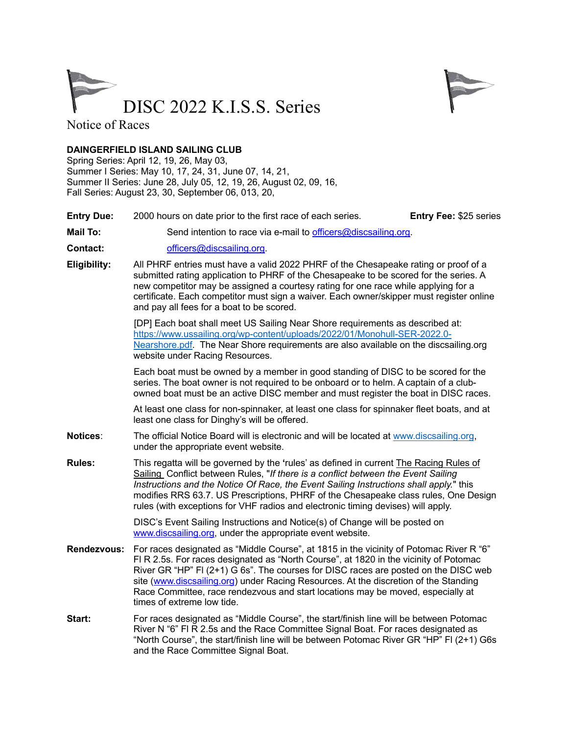



Notice of Races

## **DAINGERFIELD ISLAND SAILING CLUB**

Spring Series: April 12, 19, 26, May 03, Summer I Series: May 10, 17, 24, 31, June 07, 14, 21, Summer II Series: June 28, July 05, 12, 19, 26, August 02, 09, 16, Fall Series: August 23, 30, September 06, 013, 20,

- **Entry Due:** 2000 hours on date prior to the first race of each series. **Entry Fee:** \$25 series
- **Mail To:** Send intention to race via e-mail to officers@discsailing.org.
- **Contact:** officers@discsailing.org.
- **Eligibility:** All PHRF entries must have a valid 2022 PHRF of the Chesapeake rating or proof of a submitted rating application to PHRF of the Chesapeake to be scored for the series. A new competitor may be assigned a courtesy rating for one race while applying for a certificate. Each competitor must sign a waiver. Each owner/skipper must register online and pay all fees for a boat to be scored.

[DP] Each boat shall meet US Sailing Near Shore requirements as described at: https://www.ussailing.org/wp-content/uploads/2022/01/Monohull-SER-2022.0- Nearshore.pdf. The Near Shore requirements are also available on the discsailing.org website under Racing Resources.

 Each boat must be owned by a member in good standing of DISC to be scored for the series. The boat owner is not required to be onboard or to helm. A captain of a clubowned boat must be an active DISC member and must register the boat in DISC races.

At least one class for non-spinnaker, at least one class for spinnaker fleet boats, and at least one class for Dinghy's will be offered.

- **Notices**: The official Notice Board will is electronic and will be located at www.discsailing.org, under the appropriate event website.
- **Rules:** This regatta will be governed by the **'**rules' as defined in current The Racing Rules of Sailing Conflict between Rules, "*If there is a conflict between the Event Sailing Instructions and the Notice Of Race, the Event Sailing Instructions shall apply.*" this modifies RRS 63.7. US Prescriptions, PHRF of the Chesapeake class rules, One Design rules (with exceptions for VHF radios and electronic timing devises) will apply.

 DISC's Event Sailing Instructions and Notice(s) of Change will be posted on www.discsailing.org, under the appropriate event website.

- **Rendezvous:** For races designated as "Middle Course", at 1815 in the vicinity of Potomac River R "6" Fl R 2.5s. For races designated as "North Course", at 1820 in the vicinity of Potomac River GR "HP" Fl (2+1) G 6s". The courses for DISC races are posted on the DISC web site (www.discsailing.org) under Racing Resources. At the discretion of the Standing Race Committee, race rendezvous and start locations may be moved, especially at times of extreme low tide.
- **Start:** For races designated as "Middle Course", the start/finish line will be between Potomac River N "6" Fl R 2.5s and the Race Committee Signal Boat. For races designated as "North Course", the start/finish line will be between Potomac River GR "HP" Fl (2+1) G6s and the Race Committee Signal Boat.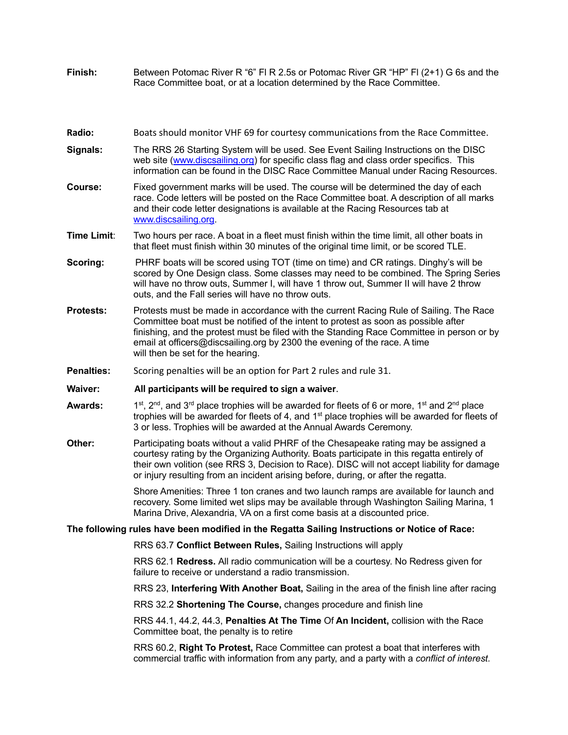- **Finish:** Between Potomac River R "6" Fl R 2.5s or Potomac River GR "HP" Fl (2+1) G 6s and the Race Committee boat, or at a location determined by the Race Committee.
- Radio: Boats should monitor VHF 69 for courtesy communications from the Race Committee.
- **Signals:** The RRS 26 Starting System will be used. See Event Sailing Instructions on the DISC web site (www.discsailing.org) for specific class flag and class order specifics. This information can be found in the DISC Race Committee Manual under Racing Resources.
- **Course:** Fixed government marks will be used. The course will be determined the day of each race. Code letters will be posted on the Race Committee boat. A description of all marks and their code letter designations is available at the Racing Resources tab at www.discsailing.org.
- **Time Limit**: Two hours per race. A boat in a fleet must finish within the time limit, all other boats in that fleet must finish within 30 minutes of the original time limit, or be scored TLE.
- **Scoring:** PHRF boats will be scored using TOT (time on time) and CR ratings. Dinghy's will be scored by One Design class. Some classes may need to be combined. The Spring Series will have no throw outs, Summer I, will have 1 throw out, Summer II will have 2 throw outs, and the Fall series will have no throw outs.
- **Protests:** Protests must be made in accordance with the current Racing Rule of Sailing. The Race Committee boat must be notified of the intent to protest as soon as possible after finishing, and the protest must be filed with the Standing Race Committee in person or by email at officers@discsailing.org by 2300 the evening of the race. A time will then be set for the hearing.
- **Penalties:** Scoring penalties will be an option for Part 2 rules and rule 31.
- **Waiver: All participants will be required to sign a waiver**.
- **Awards:**  $1^{st}$ ,  $2^{nd}$ , and  $3^{rd}$  place trophies will be awarded for fleets of 6 or more,  $1^{st}$  and  $2^{nd}$  place trophies will be awarded for fleets of 4, and 1<sup>st</sup> place trophies will be awarded for fleets of 3 or less. Trophies will be awarded at the Annual Awards Ceremony.
- **Other:** Participating boats without a valid PHRF of the Chesapeake rating may be assigned a courtesy rating by the Organizing Authority. Boats participate in this regatta entirely of their own volition (see RRS 3, Decision to Race). DISC will not accept liability for damage or injury resulting from an incident arising before, during, or after the regatta.

Shore Amenities: Three 1 ton cranes and two launch ramps are available for launch and recovery. Some limited wet slips may be available through Washington Sailing Marina, 1 Marina Drive, Alexandria, VA on a first come basis at a discounted price.

## **The following rules have been modified in the Regatta Sailing Instructions or Notice of Race:**

RRS 63.7 **Conflict Between Rules,** Sailing Instructions will apply

 RRS 62.1 **Redress.** All radio communication will be a courtesy. No Redress given for failure to receive or understand a radio transmission.

RRS 23, **Interfering With Another Boat,** Sailing in the area of the finish line after racing

RRS 32.2 **Shortening The Course,** changes procedure and finish line

 RRS 44.1, 44.2, 44.3, **Penalties At The Time** Of **An Incident,** collision with the Race Committee boat, the penalty is to retire

 RRS 60.2, **Right To Protest,** Race Committee can protest a boat that interferes with commercial traffic with information from any party, and a party with a *conflict of interest.*